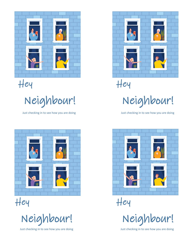

Hey

Neighbour!

Just checking in to see how you are doing Just checking in to see how you are doing



Hey

Neighbour!



Hey

Neighbour!



Hey

Neighbour!

Just checking in to see how you are doing Just checking in to see how you are doing